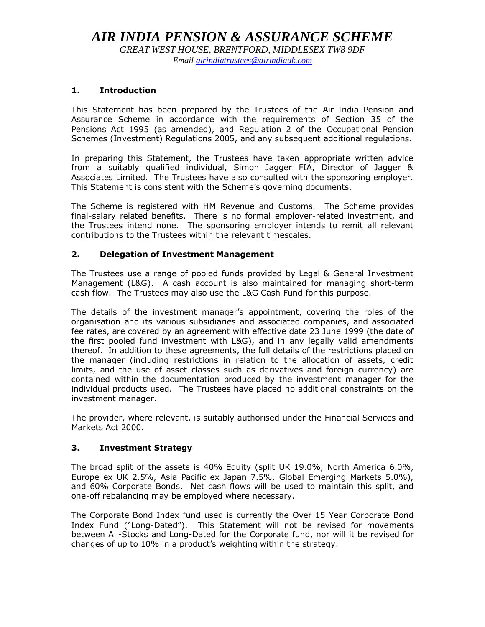# *AIR INDIA PENSION & ASSURANCE SCHEME*

*GREAT WEST HOUSE, BRENTFORD, MIDDLESEX TW8 9DF Email [airindiatrustees@airindiauk.com](mailto:airindiatrustees@airindiauk.com)*

#### **1. Introduction**

This Statement has been prepared by the Trustees of the Air India Pension and Assurance Scheme in accordance with the requirements of Section 35 of the Pensions Act 1995 (as amended), and Regulation 2 of the Occupational Pension Schemes (Investment) Regulations 2005, and any subsequent additional regulations.

In preparing this Statement, the Trustees have taken appropriate written advice from a suitably qualified individual, Simon Jagger FIA, Director of Jagger & Associates Limited. The Trustees have also consulted with the sponsoring employer. This Statement is consistent with the Scheme's governing documents.

The Scheme is registered with HM Revenue and Customs. The Scheme provides final-salary related benefits. There is no formal employer-related investment, and the Trustees intend none. The sponsoring employer intends to remit all relevant contributions to the Trustees within the relevant timescales.

#### **2. Delegation of Investment Management**

The Trustees use a range of pooled funds provided by Legal & General Investment Management (L&G). A cash account is also maintained for managing short-term cash flow. The Trustees may also use the L&G Cash Fund for this purpose.

The details of the investment manager's appointment, covering the roles of the organisation and its various subsidiaries and associated companies, and associated fee rates, are covered by an agreement with effective date 23 June 1999 (the date of the first pooled fund investment with L&G), and in any legally valid amendments thereof. In addition to these agreements, the full details of the restrictions placed on the manager (including restrictions in relation to the allocation of assets, credit limits, and the use of asset classes such as derivatives and foreign currency) are contained within the documentation produced by the investment manager for the individual products used. The Trustees have placed no additional constraints on the investment manager.

The provider, where relevant, is suitably authorised under the Financial Services and Markets Act 2000.

## **3. Investment Strategy**

The broad split of the assets is 40% Equity (split UK 19.0%, North America 6.0%, Europe ex UK 2.5%, Asia Pacific ex Japan 7.5%, Global Emerging Markets 5.0%), and 60% Corporate Bonds. Net cash flows will be used to maintain this split, and one-off rebalancing may be employed where necessary.

The Corporate Bond Index fund used is currently the Over 15 Year Corporate Bond Index Fund ("Long-Dated"). This Statement will not be revised for movements between All-Stocks and Long-Dated for the Corporate fund, nor will it be revised for changes of up to 10% in a product's weighting within the strategy.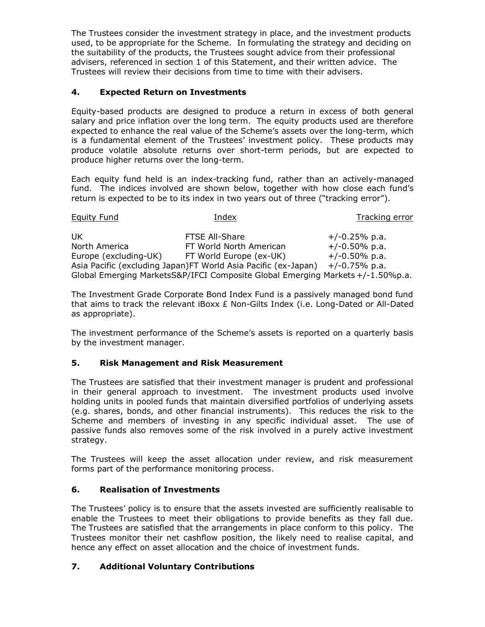The Trustees consider the investment strategy in place, and the investment products used, to be appropriate for the Scheme. In formulating the strategy and deciding on the suitability of the products, the Trustees sought advice from their professional advisers, referenced in section 1 of this Statement, and their written advice. The Trustees will review their decisions from time to time with their advisers.

# **4. Expected Return on Investments**

Equity-based products are designed to produce a return in excess of both general salary and price inflation over the long term. The equity products used are therefore expected to enhance the real value of the Scheme's assets over the long-term, which is a fundamental element of the Trustees' investment policy. These products may produce volatile absolute returns over short-term periods, but are expected to produce higher returns over the long-term.

Each equity fund held is an index-tracking fund, rather than an actively-managed fund. The indices involved are shown below, together with how close each fund's return is expected to be to its index in two years out of three ("tracking error").

| <b>Equity Fund</b>    | Index                                                                          | Tracking error   |
|-----------------------|--------------------------------------------------------------------------------|------------------|
| UK                    | <b>FTSE All-Share</b>                                                          | $+/-0.25%$ p.a.  |
| North America         | FT World North American                                                        | $+/-0.50\%$ p.a. |
| Europe (excluding-UK) | FT World Europe (ex-UK)                                                        | $+/-0.50\%$ p.a. |
|                       | Asia Pacific (excluding Japan)FT World Asia Pacific (ex-Japan)                 | $+/-0.75%$ p.a.  |
|                       | Global Emerging MarketsS&P/IFCI Composite Global Emerging Markets +/-1.50%p.a. |                  |

The Investment Grade Corporate Bond Index Fund is a passively managed bond fund that aims to track the relevant iBoxx  $E$  Non-Gilts Index (i.e. Long-Dated or All-Dated as appropriate).

The investment performance of the Scheme's assets is reported on a quarterly basis by the investment manager.

## **5. Risk Management and Risk Measurement**

The Trustees are satisfied that their investment manager is prudent and professional in their general approach to investment. The investment products used involve holding units in pooled funds that maintain diversified portfolios of underlying assets (e.g. shares, bonds, and other financial instruments). This reduces the risk to the Scheme and members of investing in any specific individual asset. The use of passive funds also removes some of the risk involved in a purely active investment strategy.

The Trustees will keep the asset allocation under review, and risk measurement forms part of the performance monitoring process.

# **6. Realisation of Investments**

The Trustees' policy is to ensure that the assets invested are sufficiently realisable to enable the Trustees to meet their obligations to provide benefits as they fall due. The Trustees are satisfied that the arrangements in place conform to this policy. The Trustees monitor their net cashflow position, the likely need to realise capital, and hence any effect on asset allocation and the choice of investment funds.

## **7. Additional Voluntary Contributions**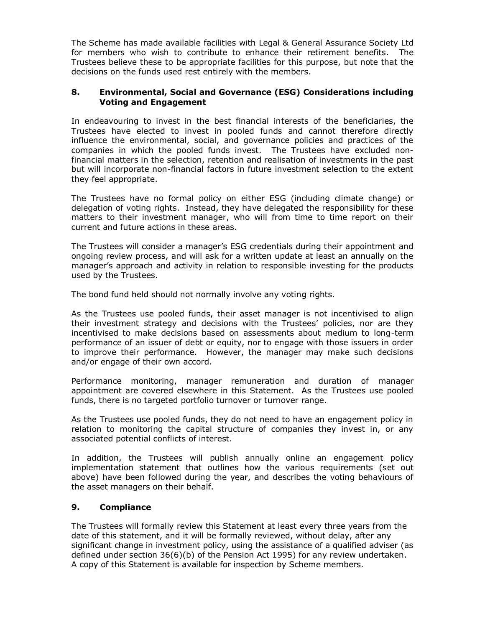The Scheme has made available facilities with Legal & General Assurance Society Ltd for members who wish to contribute to enhance their retirement benefits. The Trustees believe these to be appropriate facilities for this purpose, but note that the decisions on the funds used rest entirely with the members.

#### **8. Environmental, Social and Governance (ESG) Considerations including Voting and Engagement**

In endeavouring to invest in the best financial interests of the beneficiaries, the Trustees have elected to invest in pooled funds and cannot therefore directly influence the environmental, social, and governance policies and practices of the companies in which the pooled funds invest. The Trustees have excluded nonfinancial matters in the selection, retention and realisation of investments in the past but will incorporate non-financial factors in future investment selection to the extent they feel appropriate.

The Trustees have no formal policy on either ESG (including climate change) or delegation of voting rights. Instead, they have delegated the responsibility for these matters to their investment manager, who will from time to time report on their current and future actions in these areas.

The Trustees will consider a manager's ESG credentials during their appointment and ongoing review process, and will ask for a written update at least an annually on the manager's approach and activity in relation to responsible investing for the products used by the Trustees.

The bond fund held should not normally involve any voting rights.

As the Trustees use pooled funds, their asset manager is not incentivised to align their investment strategy and decisions with the Trustees' policies, nor are they incentivised to make decisions based on assessments about medium to long-term performance of an issuer of debt or equity, nor to engage with those issuers in order to improve their performance. However, the manager may make such decisions and/or engage of their own accord.

Performance monitoring, manager remuneration and duration of manager appointment are covered elsewhere in this Statement. As the Trustees use pooled funds, there is no targeted portfolio turnover or turnover range.

As the Trustees use pooled funds, they do not need to have an engagement policy in relation to monitoring the capital structure of companies they invest in, or any associated potential conflicts of interest.

In addition, the Trustees will publish annually online an engagement policy implementation statement that outlines how the various requirements (set out above) have been followed during the year, and describes the voting behaviours of the asset managers on their behalf.

## **9. Compliance**

The Trustees will formally review this Statement at least every three years from the date of this statement, and it will be formally reviewed, without delay, after any significant change in investment policy, using the assistance of a qualified adviser (as defined under section 36(6)(b) of the Pension Act 1995) for any review undertaken. A copy of this Statement is available for inspection by Scheme members.